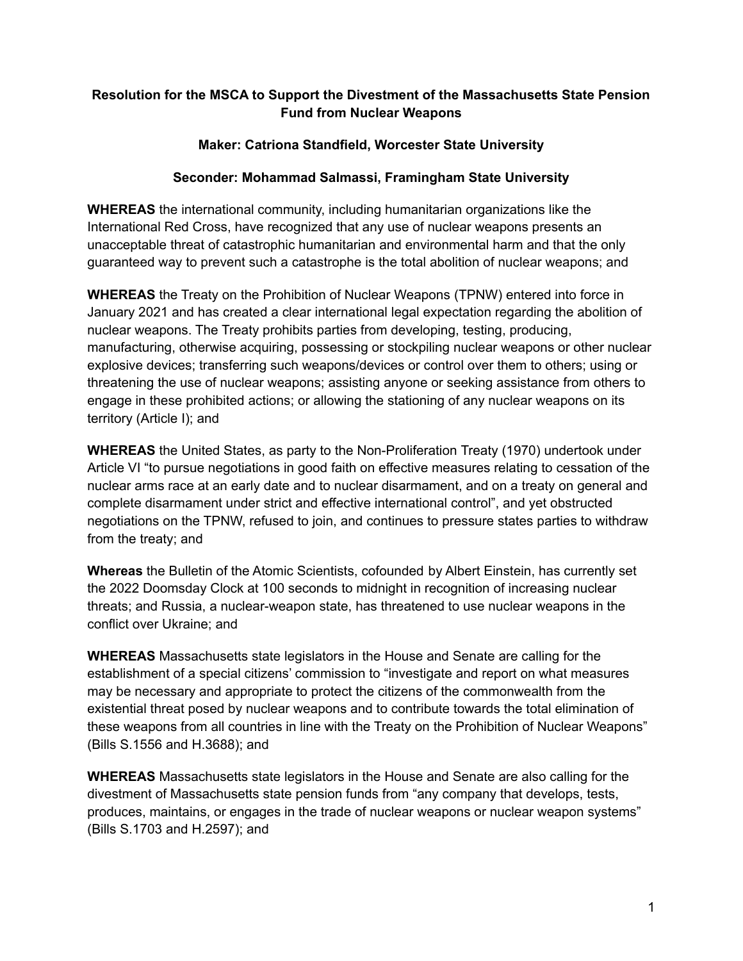## **Resolution for the MSCA to Support the Divestment of the Massachusetts State Pension Fund from Nuclear Weapons**

## **Maker: Catriona Standfield, Worcester State University**

## **Seconder: Mohammad Salmassi, Framingham State University**

**WHEREAS** the international community, including humanitarian organizations like the International Red Cross, have recognized that any use of nuclear weapons presents an unacceptable threat of catastrophic humanitarian and environmental harm and that the only guaranteed way to prevent such a catastrophe is the total abolition of nuclear weapons; and

**WHEREAS** the Treaty on the Prohibition of Nuclear Weapons (TPNW) entered into force in January 2021 and has created a clear international legal expectation regarding the abolition of nuclear weapons. The Treaty prohibits parties from developing, testing, producing, manufacturing, otherwise acquiring, possessing or stockpiling nuclear weapons or other nuclear explosive devices; transferring such weapons/devices or control over them to others; using or threatening the use of nuclear weapons; assisting anyone or seeking assistance from others to engage in these prohibited actions; or allowing the stationing of any nuclear weapons on its territory (Article I); and

**WHEREAS** the United States, as party to the Non-Proliferation Treaty (1970) undertook under Article VI "to pursue negotiations in good faith on effective measures relating to cessation of the nuclear arms race at an early date and to nuclear disarmament, and on a treaty on general and complete disarmament under strict and effective international control", and yet obstructed negotiations on the TPNW, refused to join, and continues to pressure states parties to withdraw from the treaty; and

**Whereas** the Bulletin of the Atomic Scientists, cofounded by Albert Einstein, has currently set the 2022 Doomsday Clock at 100 seconds to midnight in recognition of increasing nuclear threats; and Russia, a nuclear-weapon state, has threatened to use nuclear weapons in the conflict over Ukraine; and

**WHEREAS** Massachusetts state legislators in the House and Senate are calling for the establishment of a special citizens' commission to "investigate and report on what measures may be necessary and appropriate to protect the citizens of the commonwealth from the existential threat posed by nuclear weapons and to contribute towards the total elimination of these weapons from all countries in line with the Treaty on the Prohibition of Nuclear Weapons" (Bills S.1556 and H.3688); and

**WHEREAS** Massachusetts state legislators in the House and Senate are also calling for the divestment of Massachusetts state pension funds from "any company that develops, tests, produces, maintains, or engages in the trade of nuclear weapons or nuclear weapon systems" (Bills S.1703 and H.2597); and